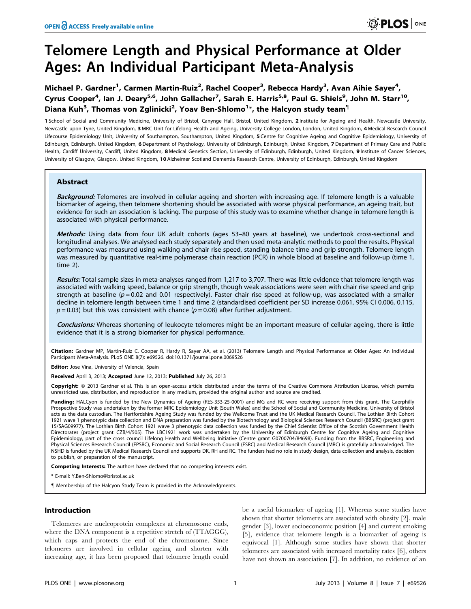# Telomere Length and Physical Performance at Older Ages: An Individual Participant Meta-Analysis

Michael P. Gardner<sup>1</sup>, Carmen Martin-Ruiz<sup>2</sup>, Rachel Cooper<sup>3</sup>, Rebecca Hardy<sup>3</sup>, Avan Aihie Sayer<sup>4</sup>, Cyrus Cooper<sup>4</sup>, Ian J. Deary<sup>5,6</sup>, John Gallacher<sup>7</sup>, Sarah E. Harris<sup>5,8</sup>, Paul G. Shiels<sup>9</sup>, John M. Starr<sup>10</sup>, Diana Kuh $^3$ , Thomas von Zglinicki $^2$ , Yoav Ben-Shlomo $^1\!*$ , the Halcyon study team $^1$ 

1 School of Social and Community Medicine, University of Bristol, Canynge Hall, Bristol, United Kingdom, 2 Institute for Ageing and Health, Newcastle University, Newcastle upon Tyne, United Kingdom, 3 MRC Unit for Lifelong Health and Ageing, University College London, London, United Kingdom, 4 Medical Research Council Lifecourse Epidemiology Unit, University of Southampton, Southampton, United Kingdom, 5 Centre for Cognitive Ageing and Cognitive Epidemiology, University of Edinburgh, Edinburgh, United Kingdom, 6 Department of Psychology, University of Edinburgh, Edinburgh, United Kingdom, 7 Department of Primary Care and Public Health, Cardiff University, Cardiff, United Kingdom, 8 Medical Genetics Section, University of Edinburgh, Edinburgh, United Kingdom, 9 Institute of Cancer Sciences, University of Glasgow, Glasgow, United Kingdom, 10 Alzheimer Scotland Dementia Research Centre, University of Edinburgh, Edinburgh, United Kingdom

# Abstract

Background: Telomeres are involved in cellular ageing and shorten with increasing age. If telomere length is a valuable biomarker of ageing, then telomere shortening should be associated with worse physical performance, an ageing trait, but evidence for such an association is lacking. The purpose of this study was to examine whether change in telomere length is associated with physical performance.

Methods: Using data from four UK adult cohorts (ages 53-80 years at baseline), we undertook cross-sectional and longitudinal analyses. We analysed each study separately and then used meta-analytic methods to pool the results. Physical performance was measured using walking and chair rise speed, standing balance time and grip strength. Telomere length was measured by quantitative real-time polymerase chain reaction (PCR) in whole blood at baseline and follow-up (time 1, time 2).

Results: Total sample sizes in meta-analyses ranged from 1,217 to 3,707. There was little evidence that telomere length was associated with walking speed, balance or grip strength, though weak associations were seen with chair rise speed and grip strength at baseline ( $p = 0.02$  and 0.01 respectively). Faster chair rise speed at follow-up, was associated with a smaller decline in telomere length between time 1 and time 2 (standardised coefficient per SD increase 0.061, 95% CI 0.006, 0.115,  $p = 0.03$ ) but this was consistent with chance ( $p = 0.08$ ) after further adjustment.

Conclusions: Whereas shortening of leukocyte telomeres might be an important measure of cellular ageing, there is little evidence that it is a strong biomarker for physical performance.

Citation: Gardner MP, Martin-Ruiz C, Cooper R, Hardy R, Sayer AA, et al. (2013) Telomere Length and Physical Performance at Older Ages: An Individual Participant Meta-Analysis. PLoS ONE 8(7): e69526. doi:10.1371/journal.pone.0069526

Editor: Jose Vina, University of Valencia, Spain

Received April 3, 2013; Accepted June 12, 2013; Published July 26, 2013

**Copyright:** © 2013 Gardner et al. This is an open-access article distributed under the terms of the Creative Commons Attribution License, which permits unrestricted use, distribution, and reproduction in any medium, provided the original author and source are credited.

Funding: HALCyon is funded by the New Dynamics of Ageing (RES-353-25-0001) and MG and RC were receiving support from this grant. The Caerphilly Prospective Study was undertaken by the former MRC Epidemiology Unit (South Wales) and the School of Social and Community Medicine, University of Bristol acts as the data custodian. The Hertfordshire Ageing Study was funded by the Wellcome Trust and the UK Medical Research Council. The Lothian Birth Cohort 1921 wave 1 phenotypic data collection and DNA preparation was funded by the Biotechnology and Biological Sciences Research Council (BBSRC) (project grant 15/SAG09977). The Lothian Birth Cohort 1921 wave 3 phenotypic data collection was funded by the Chief Scientist Office of the Scottish Government Health Directorates (project grant CZB/4/505). The LBC1921 work was undertaken by the University of Edinburgh Centre for Cognitive Ageing and Cognitive Epidemiology, part of the cross council Lifelong Health and Wellbeing Initiative (Centre grant G0700704/84698). Funding from the BBSRC, Engineering and Physical Sciences Research Council (EPSRC), Economic and Social Research Council (ESRC) and Medical Research Council (MRC) is gratefully acknowledged. The NSHD is funded by the UK Medical Research Council and supports DK, RH and RC. The funders had no role in study design, data collection and analysis, decision to publish, or preparation of the manuscript.

**Competing Interests:** The authors have declared that no competing interests exist.

\* E-mail: Y.Ben-Shlomo@bristol.ac.uk

" Membership of the Halcyon Study Team is provided in the Acknowledgments.

# Introduction

Telomeres are nucleoprotein complexes at chromosome ends, where the DNA component is a repetitive stretch of (TTAGGG), which caps and protects the end of the chromosome. Since telomeres are involved in cellular ageing and shorten with increasing age, it has been proposed that telomere length could be a useful biomarker of ageing [1]. Whereas some studies have shown that shorter telomeres are associated with obesity [2], male gender [3], lower socioeconomic position [4] and current smoking [5], evidence that telomere length is a biomarker of ageing is equivocal [1]. Although some studies have shown that shorter telomeres are associated with increased mortality rates [6], others have not shown an association [7]. In addition, no evidence of an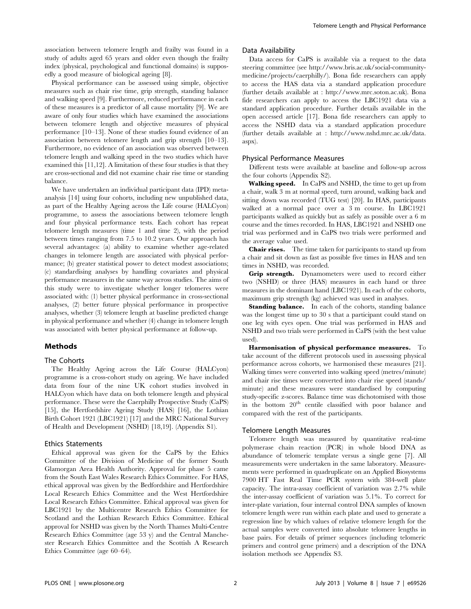association between telomere length and frailty was found in a study of adults aged 65 years and older even though the frailty index (physical, psychological and functional domains) is supposedly a good measure of biological ageing [8].

Physical performance can be assessed using simple, objective measures such as chair rise time, grip strength, standing balance and walking speed [9]. Furthermore, reduced performance in each of these measures is a predictor of all cause mortality [9]. We are aware of only four studies which have examined the associations between telomere length and objective measures of physical performance [10–13]. None of these studies found evidence of an association between telomere length and grip strength [10–13]. Furthermore, no evidence of an association was observed between telomere length and walking speed in the two studies which have examined this [11,12]. A limitation of these four studies is that they are cross-sectional and did not examine chair rise time or standing balance.

We have undertaken an individual participant data (IPD) metaanalysis [14] using four cohorts, including new unpublished data, as part of the Healthy Ageing across the Life course (HALCyon) programme, to assess the associations between telomere length and four physical performance tests. Each cohort has repeat telomere length measures (time 1 and time 2), with the period between times ranging from 7.5 to 10.2 years. Our approach has several advantages: (a) ability to examine whether age-related changes in telomere length are associated with physical performance; (b) greater statistical power to detect modest associations; (c) standardising analyses by handling covariates and physical performance measures in the same way across studies. The aims of this study were to investigate whether longer telomeres were associated with: (1) better physical performance in cross-sectional analyses, (2) better future physical performance in prospective analyses, whether (3) telomere length at baseline predicted change in physical performance and whether (4) change in telomere length was associated with better physical performance at follow-up.

# Methods

## The Cohorts

The Healthy Ageing across the Life Course (HALCyon) programme is a cross-cohort study on ageing. We have included data from four of the nine UK cohort studies involved in HALCyon which have data on both telomere length and physical performance. These were the Caerphilly Prospective Study (CaPS) [15], the Hertfordshire Ageing Study (HAS) [16], the Lothian Birth Cohort 1921 (LBC1921) [17] and the MRC National Survey of Health and Development (NSHD) [18,19]. (Appendix S1).

## Ethics Statements

Ethical approval was given for the CaPS by the Ethics Committee of the Division of Medicine of the former South Glamorgan Area Health Authority. Approval for phase 5 came from the South East Wales Research Ethics Committee. For HAS, ethical approval was given by the Bedfordshire and Hertfordshire Local Research Ethics Committee and the West Hertfordshire Local Research Ethics Committee. Ethical approval was given for LBC1921 by the Multicentre Research Ethics Committee for Scotland and the Lothian Research Ethics Committee. Ethical approval for NSHD was given by the North Thames Multi-Centre Research Ethics Committee (age 53 y) and the Central Manchester Research Ethics Committee and the Scottish A Research Ethics Committee (age 60–64).

#### Data Availability

Data access for CaPS is available via a request to the data steering committee (see http://www.bris.ac.uk/social-communitymedicine/projects/caerphilly/). Bona fide researchers can apply to access the HAS data via a standard application procedure (further details available at : http://www.mrc.soton.ac.uk). Bona fide researchers can apply to access the LBC1921 data via a standard application procedure. Further details available in the open accessed article [17]. Bona fide researchers can apply to access the NSHD data via a standard application procedure (further details available at : http://www.nshd.mrc.ac.uk/data. aspx).

## Physical Performance Measures

Different tests were available at baseline and follow-up across the four cohorts (Appendix S2).

Walking speed. In CaPS and NSHD, the time to get up from a chair, walk 3 m at normal speed, turn around, walking back and sitting down was recorded (TUG test) [20]. In HAS, participants walked at a normal pace over a 3 m course. In LBC1921 participants walked as quickly but as safely as possible over a 6 m course and the times recorded. In HAS, LBC1921 and NSHD one trial was performed and in CaPS two trials were performed and the average value used.

**Chair rises.** The time taken for participants to stand up from a chair and sit down as fast as possible five times in HAS and ten times in NSHD, was recorded.

Grip strength. Dynamometers were used to record either two (NSHD) or three (HAS) measures in each hand or three measures in the dominant hand (LBC1921). In each of the cohorts, maximum grip strength (kg) achieved was used in analyses.

**Standing balance.** In each of the cohorts, standing balance was the longest time up to 30 s that a participant could stand on one leg with eyes open. One trial was performed in HAS and NSHD and two trials were performed in CaPS (with the best value used).

Harmonisation of physical performance measures. To take account of the different protocols used in assesssing physical performance across cohorts, we harmonised these measures [21]. Walking times were converted into walking speed (metres/minute) and chair rise times were converted into chair rise speed (stands/ minute) and these measures were standardised by computing study-specific z-scores. Balance time was dichotomised with those in the bottom 20<sup>th</sup> centile classified with poor balance and compared with the rest of the participants.

#### Telomere Length Measures

Telomere length was measured by quantitative real-time polymerase chain reaction (PCR) in whole blood DNA as abundance of telomeric template versus a single gene [7]. All measurements were undertaken in the same laboratory. Measurements were performed in quadruplicate on an Applied Biosystems 7900 HT Fast Real Time PCR system with 384-well plate capacity. The intra-assay coefficient of variation was 2.7% while the inter-assay coefficient of variation was 5.1%. To correct for inter-plate variation, four internal control DNA samples of known telomere length were run within each plate and used to generate a regression line by which values of relative telomere length for the actual samples were converted into absolute telomere lengths in base pairs. For details of primer sequences (including telomeric primers and control gene primers) and a description of the DNA isolation methods see Appendix S3.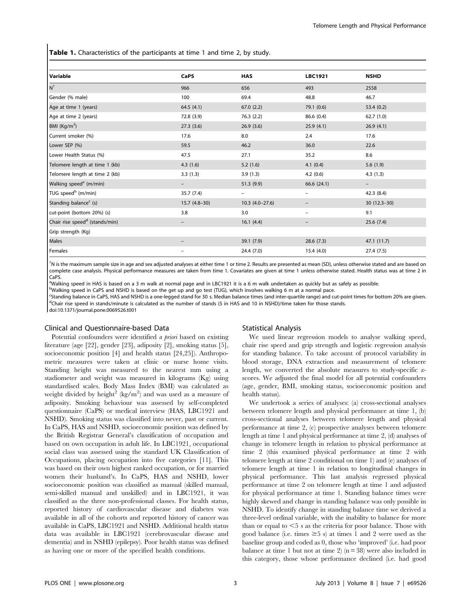Table 1. Characteristics of the participants at time 1 and time 2, by study.

| Variable                                   | CaPS                     | <b>HAS</b>        | <b>LBC1921</b>           | <b>NSHD</b>              |  |
|--------------------------------------------|--------------------------|-------------------|--------------------------|--------------------------|--|
| $N^{\dagger}$                              | 966                      | 656               | 493                      | 2558                     |  |
| Gender (% male)                            | 100                      | 69.4              | 48.8                     | 46.7                     |  |
| Age at time 1 (years)                      | 64.5(4.1)                | 67.0(2.2)         | 79.1 (0.6)               | 53.4(0.2)                |  |
| Age at time 2 (years)                      | 72.8 (3.9)               | 76.3(2.2)         | 86.6 (0.4)               | 62.7(1.0)                |  |
| BMI (Kg/m <sup>2</sup> )                   | 27.3(3.6)                | 26.9(3.6)         | 25.9(4.1)                | 26.9(4.1)                |  |
| Current smoker (%)                         | 17.6                     | 8.0               | 2.4                      | 17.6                     |  |
| Lower SEP (%)                              | 59.5                     | 46.2              | 36.0                     | 22.6                     |  |
| Lower Health Status (%)                    | 47.5                     | 27.1              | 35.2                     | 8.6                      |  |
| Telomere length at time 1 (kb)             | 4.3(1.6)                 | 5.2(1.6)          | 4.1(0.4)                 | 5.6(1.9)                 |  |
| Telomere length at time 2 (kb)             | 3.3(1.3)                 | 3.9(1.3)          | 4.2(0.6)                 | 4.3(1.3)                 |  |
| Walking speed <sup>a</sup> (m/min)         | $\qquad \qquad -$        | 51.3(9.9)         | 66.6 (24.1)              | $\overline{\phantom{0}}$ |  |
| TUG speed <sup>b</sup> (m/min)             | 35.7(7.4)                | $\qquad \qquad -$ | $\overline{\phantom{m}}$ | 42.3 (8.4)               |  |
| Standing balance <sup>c</sup> (s)          | $15.7(4.8-30)$           | $10.3(4.0-27.6)$  |                          | $30(12.3-30)$            |  |
| cut-point (bottom 20%) (s)                 | 3.8                      | 3.0               | $\overline{\phantom{m}}$ | 9.1                      |  |
| Chair rise speed <sup>d</sup> (stands/min) |                          | 16.1(4.4)         |                          | 25.6(7.4)                |  |
| Grip strength (Kg)                         |                          |                   |                          |                          |  |
| Males                                      |                          | 39.1(7.9)         | 28.6(7.3)                | 47.1 (11.7)              |  |
| Females                                    | $\overline{\phantom{0}}$ | 24.4 (7.0)        | 15.4(4.0)                | 27.4(7.5)                |  |

{ N is the maximum sample size in age and sex adjusted analyses at either time 1 or time 2. Results are presented as mean (SD), unless otherwise stated and are based on complete case analysis. Physical performance measures are taken from time 1. Covariates are given at time 1 unless otherwise stated. Health status was at time 2 in CaPS.

a<br>Walking speed in HAS is based on a 3 m walk at normal page and in LBC1921 it is a 6 m walk undertaken as quickly but as safely as possible.

bWalking speed in CaPS and NSHD is based on the get up and go test (TUG), which involves walking 6 m at a normal pace.

<sup>c</sup>Standing balance in CaPS, HAS and NSHD is a one-legged stand for 30 s. Median balance times (and inter-quartile range) and cut-point times for bottom 20% are given. <sup>d</sup>Chair rise speed in stands/minute is calculated as the number of stands (5 in HAS and 10 in NSHD)/time taken for those stands. doi:10.1371/journal.pone.0069526.t001

## Clinical and Questionnaire-based Data

Potential confounders were identified *a priori* based on existing literature (age [22], gender [23], adiposity [2], smoking status [5], socioeconomic position [4] and health status [24,25]). Anthropometric measures were taken at clinic or nurse home visits. Standing height was measured to the nearest mm using a stadiometer and weight was measured in kilograms (Kg) using standardised scales. Body Mass Index (BMI) was calculated as weight divided by height<sup>2</sup> (kg/m<sup>2</sup>) and was used as a measure of adiposity. Smoking behaviour was assessed by self-completed questionnaire (CaPS) or medical interview (HAS, LBC1921 and NSHD). Smoking status was classified into never, past or current. In CaPS, HAS and NSHD, socioeconomic position was defined by the British Registrar General's classification of occupation and based on own occupation in adult life. In LBC1921, occupational social class was assessed using the standard UK Classification of Occupations, placing occupation into five categories [11]. This was based on their own highest ranked occupation, or for married women their husband's. In CaPS, HAS and NSHD, lower socioeconomic position was classified as manual (skilled manual, semi-skilled manual and unskilled) and in LBC1921, it was classified as the three non-professional classes. For health status, reported history of cardiovascular disease and diabetes was available in all of the cohorts and reported history of cancer was available in CaPS, LBC1921 and NSHD. Additional health status data was available in LBC1921 (cerebrovascular disease and dementia) and in NSHD (epilepsy). Poor health status was defined as having one or more of the specified health conditions.

# Statistical Analysis

We used linear regression models to analyse walking speed, chair rise speed and grip strength and logistic regression analysis for standing balance. To take account of protocol variability in blood storage, DNA extraction and measurement of telomere length, we converted the absolute measures to study-specific zscores. We adjusted the final model for all potential confounders (age, gender, BMI, smoking status, socioeconomic position and health status).

We undertook a series of analyses: (a) cross-sectional analyses between telomere length and physical performance at time 1, (b) cross-sectional analyses between telomere length and physical performance at time 2, (c) prospective analyses between telomere length at time 1 and physical performance at time 2, (d) analyses of change in telomere length in relation to physical performance at time 2 (this examined physical performance at time 2 with telomere length at time 2 conditional on time 1) and (e) analyses of telomere length at time 1 in relation to longitudinal changes in physical performance. This last analysis regressed physical performance at time 2 on telomere length at time 1 and adjusted for physical performance at time 1. Standing balance times were highly skewed and change in standing balance was only possible in NSHD. To identify change in standing balance time we derived a three-level ordinal variable, with the inability to balance for more than or equal to  $\leq$  s as the criteria for poor balance. Those with good balance (i.e. times  $\geq$  5 s) at times 1 and 2 were used as the baseline group and coded as 0, those who 'improved' (i.e. had poor balance at time 1 but not at time 2) ( $n = 38$ ) were also included in this category, those whose performance declined (i.e. had good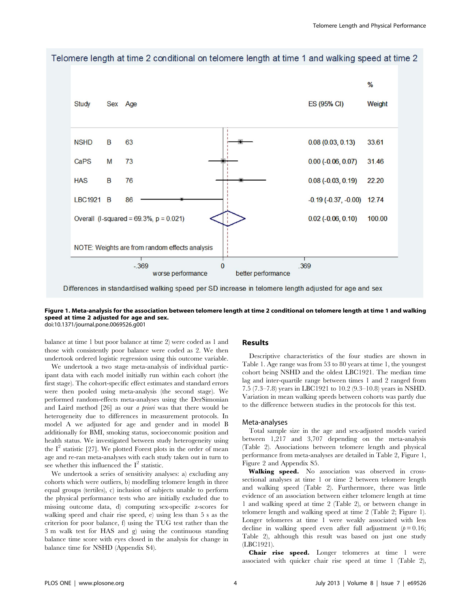

Telomere length at time 2 conditional on telomere length at time 1 and walking speed at time 2

Figure 1. Meta-analysis for the association between telomere length at time 2 conditional on telomere length at time 1 and walking speed at time 2 adjusted for age and sex. doi:10.1371/journal.pone.0069526.g001

balance at time 1 but poor balance at time 2) were coded as 1 and those with consistently poor balance were coded as 2. We then undertook ordered logistic regression using this outcome variable.

We undertook a two stage meta-analysis of individual participant data with each model initially run within each cohort (the first stage). The cohort-specific effect estimates and standard errors were then pooled using meta-analysis (the second stage). We performed random-effects meta-analyses using the DerSimonian and Laird method [26] as our a priori was that there would be heterogeneity due to differences in measurement protocols. In model A we adjusted for age and gender and in model B additionally for BMI, smoking status, socioeconomic position and health status. We investigated between study heterogeneity using the  $I<sup>2</sup>$  statistic [27]. We plotted Forest plots in the order of mean age and re-ran meta-analyses with each study taken out in turn to see whether this influenced the  $I^2$  statistic.

We undertook a series of sensitivity analyses: a) excluding any cohorts which were outliers, b) modelling telomere length in three equal groups (tertiles), c) inclusion of subjects unable to perform the physical performance tests who are initially excluded due to missing outcome data, d) computing sex-specific z-scores for walking speed and chair rise speed, e) using less than 5 s as the criterion for poor balance, f) using the TUG test rather than the 3 m walk test for HAS and g) using the continuous standing balance time score with eyes closed in the analysis for change in balance time for NSHD (Appendix S4).

#### Results

Descriptive characteristics of the four studies are shown in Table 1. Age range was from 53 to 80 years at time 1, the youngest cohort being NSHD and the oldest LBC1921. The median time lag and inter-quartile range between times 1 and 2 ranged from 7.5 (7.3–7.8) years in LBC1921 to 10.2 (9.3–10.8) years in NSHD. Variation in mean walking speeds between cohorts was partly due to the difference between studies in the protocols for this test.

#### Meta-analyses

Total sample size in the age and sex-adjusted models varied between 1,217 and 3,707 depending on the meta-analysis (Table 2). Associations between telomere length and physical performance from meta-analyses are detailed in Table 2, Figure 1, Figure 2 and Appendix S5.

Walking speed. No association was observed in crosssectional analyses at time 1 or time 2 between telomere length and walking speed (Table 2). Furthermore, there was little evidence of an association between either telomere length at time 1 and walking speed at time 2 (Table 2), or between change in telomere length and walking speed at time 2 (Table 2; Figure 1). Longer telomeres at time 1 were weakly associated with less decline in walking speed even after full adjustment  $(p=0.16;$ Table 2), although this result was based on just one study (LBC1921).

Chair rise speed. Longer telomeres at time 1 were associated with quicker chair rise speed at time 1 (Table 2),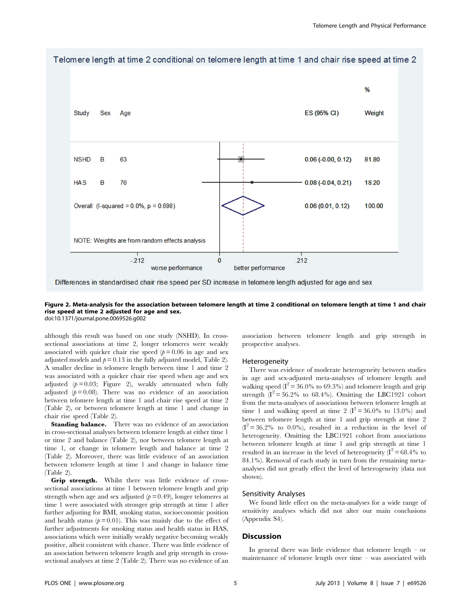

Telomere length at time 2 conditional on telomere length at time 1 and chair rise speed at time 2

Differences in standardised chair rise speed per SD increase in telomere length adjusted for age and sex

#### Figure 2. Meta-analysis for the association between telomere length at time 2 conditional on telomere length at time 1 and chair rise speed at time 2 adjusted for age and sex. doi:10.1371/journal.pone.0069526.g002

although this result was based on one study (NSHD). In crosssectional associations at time 2, longer telomeres were weakly associated with quicker chair rise speed ( $p = 0.06$  in age and sex adjusted models and  $p = 0.13$  in the fully adjusted model, Table 2). A smaller decline in telomere length between time 1 and time 2 was associated with a quicker chair rise speed when age and sex adjusted ( $p = 0.03$ ; Figure 2), weakly attenuated when fully adjusted  $(p=0.08)$ . There was no evidence of an association between telomere length at time 1 and chair rise speed at time 2 (Table 2), or between telomere length at time 1 and change in chair rise speed (Table 2).

**Standing balance.** There was no evidence of an association in cross-sectional analyses between telomere length at either time 1 or time 2 and balance (Table 2), nor between telomere length at time 1, or change in telomere length and balance at time 2 (Table 2). Moreover, there was little evidence of an association between telomere length at time 1 and change in balance time (Table 2).

Grip strength. Whilst there was little evidence of crosssectional associations at time 1 between telomere length and grip strength when age and sex adjusted  $(p=0.49)$ , longer telomeres at time 1 were associated with stronger grip strength at time 1 after further adjusting for BMI, smoking status, socioeconomic position and health status  $(p=0.01)$ . This was mainly due to the effect of further adjustments for smoking status and health status in HAS, associations which were initially weakly negative becoming weakly positive, albeit consistent with chance. There was little evidence of an association between telomere length and grip strength in crosssectional analyses at time 2 (Table 2). There was no evidence of an

association between telomere length and grip strength in prospective analyses.

## Heterogeneity

There was evidence of moderate heterogeneity between studies in age and sex-adjusted meta-analyses of telomere length and walking speed  $(I^2 = 36.0\%$  to 69.3%) and telomere length and grip strength  $(I^2 = 36.2\%$  to 68.4%). Omitting the LBC1921 cohort from the meta-analyses of associations between telomere length at time 1 and walking speed at time 2 ( $I^2 = 36.0\%$  to 13.0%) and between telomere length at time 1 and grip strength at time 2  $(I^2 = 36.2\%$  to 0.0%), resulted in a reduction in the level of heterogeneity. Omitting the LBC1921 cohort from associations between telomere length at time 1 and grip strength at time 1 resulted in an increase in the level of heterogeneity  $(I^2 = 68.4\%$  to 84.1%). Removal of each study in turn from the remaining metaanalyses did not greatly effect the level of heterogeneity (data not shown).

#### Sensitivity Analyses

We found little effect on the meta-analyses for a wide range of sensitivity analyses which did not alter our main conclusions (Appendix S4).

# **Discussion**

In general there was little evidence that telomere length – or maintenance of telomere length over time – was associated with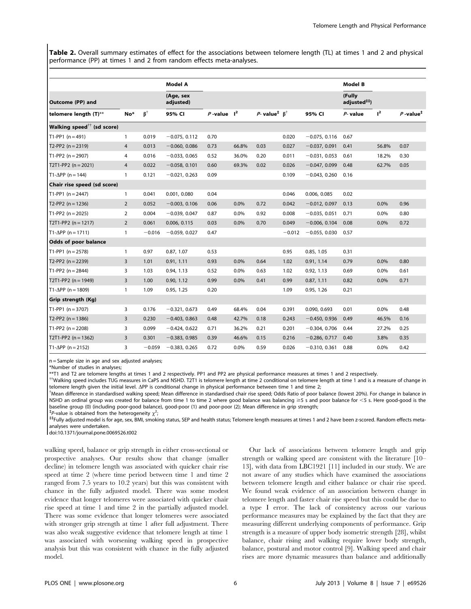Table 2. Overall summary estimates of effect for the associations between telomere length (TL) at times 1 and 2 and physical performance (PP) at times 1 and 2 from random effects meta-analyses.

|                                              |                |                              | <b>Model A</b>         |                  |       |                                                               |          |                 | Model B                            |       |                         |
|----------------------------------------------|----------------|------------------------------|------------------------|------------------|-------|---------------------------------------------------------------|----------|-----------------|------------------------------------|-------|-------------------------|
| Outcome (PP) and                             |                |                              | (Age, sex<br>adjusted) |                  |       |                                                               |          |                 | (Fully<br>adjusted <sup>##</sup> ) |       |                         |
| telomere length (T)**                        | No*            | $\boldsymbol{\beta}^\dagger$ | 95% CI                 | $P$ -value $I^2$ |       | P-value <sup><math>\uparrow</math></sup> $\upbeta^{\uparrow}$ |          | 95% CI          | $P-$ value                         | $l^2$ | $P$ -value <sup>‡</sup> |
| Walking speed $^{\dagger\dagger}$ (sd score) |                |                              |                        |                  |       |                                                               |          |                 |                                    |       |                         |
| $T1-PP1 (n = 491)$                           | $\mathbf{1}$   | 0.019                        | $-0.075, 0.112$        | 0.70             |       |                                                               | 0.020    | $-0.075, 0.116$ | 0.67                               |       |                         |
| $T2-PP2 (n = 2319)$                          | $\overline{4}$ | 0.013                        | $-0.060, 0.086$        | 0.73             | 66.8% | 0.03                                                          | 0.027    | $-0.037, 0.091$ | 0.41                               | 56.8% | 0.07                    |
| T1-PP2 $(n = 2907)$                          | 4              | 0.016                        | $-0.033, 0.065$        | 0.52             | 36.0% | 0.20                                                          | 0.011    | $-0.031, 0.053$ | 0.61                               | 18.2% | 0.30                    |
| T2T1-PP2 $(n = 2021)$                        | $\overline{4}$ | 0.022                        | $-0.058, 0.101$        | 0.60             | 69.3% | 0.02                                                          | 0.026    | $-0.047, 0.099$ | 0.48                               | 62.7% | 0.05                    |
| $T1-\Delta PP$ (n = 144)                     | $\mathbf{1}$   | 0.121                        | $-0.021, 0.263$        | 0.09             |       |                                                               | 0.109    | $-0.043, 0.260$ | 0.16                               |       |                         |
| Chair rise speed (sd score)                  |                |                              |                        |                  |       |                                                               |          |                 |                                    |       |                         |
| T1-PP1 $(n = 2447)$                          | $\mathbf{1}$   | 0.041                        | 0.001, 0.080           | 0.04             |       |                                                               | 0.046    | 0.006, 0.085    | 0.02                               |       |                         |
| T2-PP2 $(n = 1236)$                          | $\overline{2}$ | 0.052                        | $-0.003, 0.106$        | 0.06             | 0.0%  | 0.72                                                          | 0.042    | $-0.012, 0.097$ | 0.13                               | 0.0%  | 0.96                    |
| T1-PP2 ( $n = 2025$ )                        | 2              | 0.004                        | $-0.039, 0.047$        | 0.87             | 0.0%  | 0.92                                                          | 0.008    | $-0.035, 0.051$ | 0.71                               | 0.0%  | 0.80                    |
| T2T1-PP2 ( $n = 1217$ )                      | $\overline{2}$ | 0.061                        | 0.006, 0.115           | 0.03             | 0.0%  | 0.70                                                          | 0.049    | $-0.006, 0.104$ | 0.08                               | 0.0%  | 0.72                    |
| $T1 - \Delta PP$ (n = 1711)                  | $\overline{1}$ | $-0.016$                     | $-0.059, 0.027$        | 0.47             |       |                                                               | $-0.012$ | $-0.055, 0.030$ | 0.57                               |       |                         |
| <b>Odds of poor balance</b>                  |                |                              |                        |                  |       |                                                               |          |                 |                                    |       |                         |
| $T1-PP1 (n = 2578)$                          | $\overline{1}$ | 0.97                         | 0.87, 1.07             | 0.53             |       |                                                               | 0.95     | 0.85, 1.05      | 0.31                               |       |                         |
| T2-PP2 $(n = 2239)$                          | 3              | 1.01                         | 0.91, 1.11             | 0.93             | 0.0%  | 0.64                                                          | 1.02     | 0.91, 1.14      | 0.79                               | 0.0%  | 0.80                    |
| T1-PP2 $(n = 2844)$                          | 3              | 1.03                         | 0.94, 1.13             | 0.52             | 0.0%  | 0.63                                                          | 1.02     | 0.92, 1.13      | 0.69                               | 0.0%  | 0.61                    |
| T2T1-PP2 ( $n = 1949$ )                      | 3              | 1.00                         | 0.90, 1.12             | 0.99             | 0.0%  | 0.41                                                          | 0.99     | 0.87, 1.11      | 0.82                               | 0.0%  | 0.71                    |
| $T1 - \Delta PP$ (n = 1809)                  | $\overline{1}$ | 1.09                         | 0.95, 1.25             | 0.20             |       |                                                               | 1.09     | 0.95, 1.26      | 0.21                               |       |                         |
| Grip strength (Kg)                           |                |                              |                        |                  |       |                                                               |          |                 |                                    |       |                         |
| T1-PP1 $(n = 3707)$                          | 3              | 0.176                        | $-0.321, 0.673$        | 0.49             | 68.4% | 0.04                                                          | 0.391    | 0.090, 0.693    | 0.01                               | 0.0%  | 0.48                    |
| T2-PP2 $(n = 1386)$                          | 3              | 0.230                        | $-0.403, 0.863$        | 0.48             | 42.7% | 0.18                                                          | 0.243    | $-0.450, 0.936$ | 0.49                               | 46.5% | 0.16                    |
| T1-PP2 $(n = 2208)$                          | 3              | 0.099                        | $-0.424, 0.622$        | 0.71             | 36.2% | 0.21                                                          | 0.201    | $-0.304, 0.706$ | 0.44                               | 27.2% | 0.25                    |
| T2T1-PP2 ( $n = 1362$ )                      | 3              | 0.301                        | $-0.383, 0.985$        | 0.39             | 46.6% | 0.15                                                          | 0.216    | $-0.286, 0.717$ | 0.40                               | 3.8%  | 0.35                    |
| $T1 - \Delta PP$ (n = 2152)                  | 3              | $-0.059$                     | $-0.383, 0.265$        | 0.72             | 0.0%  | 0.59                                                          | 0.026    | $-0.310, 0.361$ | 0.88                               | 0.0%  | 0.42                    |

n = Sample size in age and sex adjusted analyses;

\*Number of studies in analyses;

\*\*T1 and T2 are telomere lengths at times 1 and 2 respectively. PP1 and PP2 are physical performance measures at times 1 and 2 respectively.

{{Walking speed includes TUG measures in CaPS and NSHD. T2T1 is telomere length at time 2 conditional on telomere length at time 1 and is a measure of change in telomere length given the initial level.  $\Delta PP$  is conditional change in physical performance between time 1 and time 2;

Mean difference in standardised walking speed; Mean difference in standardised chair rise speed; Odds Ratio of poor balance (lowest 20%). For change in balance in NSHD an ordinal group was created for balance from time 1 to time 2 where good balance was balancing  $\geq$  s and poor balance for <5 s. Here good-good is the baseline group (0) (including poor-good balance), good-poor (1) and poor-poor (2); Mean difference in grip strength;

<sup>‡</sup>P-value is obtained from the heterogeneity  $\chi^2$ 

; ``Fully adjusted model is for age, sex, BMI, smoking status, SEP and health status; Telomere length measures at times 1 and 2 have been z-scored. Random effects metaanalyses were undertaken.

doi:10.1371/journal.pone.0069526.t002

walking speed, balance or grip strength in either cross-sectional or prospective analyses. Our results show that change (smaller decline) in telomere length was associated with quicker chair rise speed at time 2 (where time period between time 1 and time 2 ranged from 7.5 years to 10.2 years) but this was consistent with chance in the fully adjusted model. There was some modest evidence that longer telomeres were associated with quicker chair rise speed at time 1 and time 2 in the partially adjusted model. There was some evidence that longer telomeres were associated with stronger grip strength at time 1 after full adjustment. There was also weak suggestive evidence that telomere length at time 1 was associated with worsening walking speed in prospective analysis but this was consistent with chance in the fully adjusted model.

Our lack of associations between telomere length and grip strength or walking speed are consistent with the literature [10– 13], with data from LBC1921 [11] included in our study. We are not aware of any studies which have examined the associations between telomere length and either balance or chair rise speed. We found weak evidence of an association between change in telomere length and faster chair rise speed but this could be due to a type I error. The lack of consistency across our various performance measures may be explained by the fact that they are measuring different underlying components of performance. Grip strength is a measure of upper body isometric strength [28], whilst balance, chair rising and walking require lower body strength, balance, postural and motor control [9]. Walking speed and chair rises are more dynamic measures than balance and additionally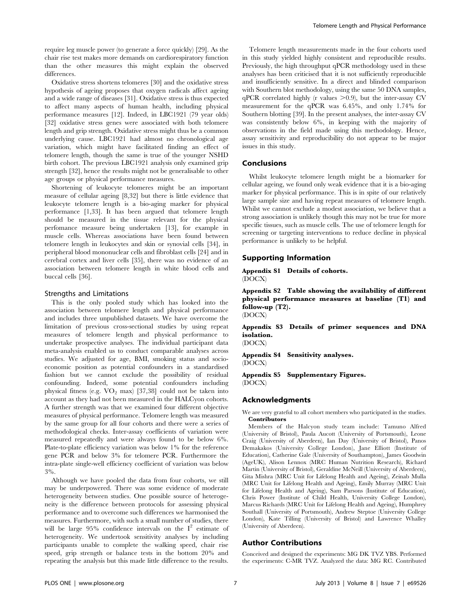require leg muscle power (to generate a force quickly) [29]. As the chair rise test makes more demands on cardiorespiratory function than the other measures this might explain the observed differences.

Oxidative stress shortens telomeres [30] and the oxidative stress hypothesis of ageing proposes that oxygen radicals affect ageing and a wide range of diseases [31]. Oxidative stress is thus expected to affect many aspects of human health, including physical performance measures [12]. Indeed, in LBC1921 (79 year olds) [32] oxidative stress genes were associated with both telomere length and grip strength. Oxidative stress might thus be a common underlying cause. LBC1921 had almost no chronological age variation, which might have facilitated finding an effect of telomere length, though the same is true of the younger NSHD birth cohort. The previous LBC1921 analysis only examined grip strength [32], hence the results might not be generalisable to other age groups or physical performance measures.

Shortening of leukocyte telomeres might be an important measure of cellular ageing [8,32] but there is little evidence that leukocyte telomere length is a bio-aging marker for physical performance [1,33]. It has been argued that telomere length should be measured in the tissue relevant for the physical perfomance measure being undertaken [13], for example in muscle cells. Whereas associations have been found between telomere length in leukocytes and skin or synovial cells [34], in peripheral blood mononuclear cells and fibroblast cells [24] and in cerebral cortex and liver cells [35], there was no evidence of an association between telomere length in white blood cells and buccal cells [36].

## Strengths and Limitations

This is the only pooled study which has looked into the association between telomere length and physical performance and includes three unpublished datasets. We have overcome the limitation of previous cross-sectional studies by using repeat measures of telomere length and physical performance to undertake prospective analyses. The individual participant data meta-analysis enabled us to conduct comparable analyses across studies. We adjusted for age, BMI, smoking status and socioeconomic position as potential confounders in a standardised fashion but we cannot exclude the possibility of residual confounding. Indeed, some potential confounders including physical fitness (e.g.  $VO_2$  max) [37,38] could not be taken into account as they had not been measured in the HALCyon cohorts. A further strength was that we examined four different objective measures of physical performance. Telomere length was measured by the same group for all four cohorts and there were a series of methodological checks. Inter-assay coefficients of variation were measured repeatedly and were always found to be below 6%. Plate-to-plate efficiency variation was below 1% for the reference gene PCR and below 3% for telomere PCR. Furthermore the intra-plate single-well efficiency coefficient of variation was below 3%.

Although we have pooled the data from four cohorts, we still may be underpowered. There was some evidence of moderate heterogeneity between studies. One possible source of heterogeneity is the difference between protocols for assessing physical performance and to overcome such differences we harmonised the measures. Furthermore, with such a small number of studies, there will be large  $95\%$  confidence intervals on the  $I^2$  estimate of heterogeneity. We undertook sensitivity analyses by including participants unable to complete the walking speed, chair rise speed, grip strength or balance tests in the bottom 20% and repeating the analysis but this made little difference to the results.

Telomere length measurements made in the four cohorts used in this study yielded highly consistent and reproducible results. Previously, the high throughput qPCR methodology used in these analyses has been criticised that it is not sufficiently reproducible and insufficiently sensitive. In a direct and blinded comparison with Southern blot methodology, using the same 50 DNA samples,  $qPCR$  correlated highly (r values  $>0.9$ ), but the inter-assay CV measurement for the qPCR was 6.45%, and only 1.74% for Southern blotting [39]. In the present analyses, the inter-assay CV was consistently below 6%, in keeping with the majority of observations in the field made using this methodology. Hence, assay sensitivity and reproducibility do not appear to be major issues in this study.

# Conclusions

Whilst leukocyte telomere length might be a biomarker for cellular ageing, we found only weak evidence that it is a bio-aging marker for physical performance. This is in spite of our relatively large sample size and having repeat measures of telomere length. Whilst we cannot exclude a modest association, we believe that a strong association is unlikely though this may not be true for more specific tissues, such as muscle cells. The use of telomere length for screening or targeting interventions to reduce decline in physical performance is unlikely to be helpful.

## Supporting Information

Appendix S1 Details of cohorts. (DOCX)

Appendix S2 Table showing the availability of different physical performance measures at baseline (T1) and follow-up (T2). (DOCX)

Appendix S3 Details of primer sequences and DNA isolation.

(DOCX)

Appendix S4 Sensitivity analyses.

(DOCX)

Appendix S5 Supplementary Figures. (DOCX)

# Acknowledgments

We are very grateful to all cohort members who participated in the studies. Contributors

Members of the Halcyon study team include: Tamuno Alfred (University of Bristol), Paula Aucott (University of Portsmouth), Leone Craig (University of Aberdeen), Ian Day (University of Bristol), Panos Demakakos (University College London), Jane Elliott (Institute of Education), Catherine Gale (University of Southampton), James Goodwin (AgeUK), Alison Lennox (MRC Human Nutrition Research), Richard Martin (University of Bristol), Geraldine McNeill (University of Aberdeen), Gita Mishra (MRC Unit for Lifelong Health and Ageing), Zeinab Mulla (MRC Unit for Lifelong Health and Ageing), Emily Murray (MRC Unit for Lifelong Health and Ageing), Sam Parsons (Institute of Education), Chris Power (Institute of Child Health, University College London), Marcus Richards (MRC Unit for Lifelong Health and Ageing), Humphrey Southall (University of Portsmouth), Andrew Steptoe (University College London), Kate Tilling (University of Bristol) and Lawrence Whalley (University of Aberdeen).

# Author Contributions

Conceived and designed the experiments: MG DK TVZ YBS. Performed the experiments: C-MR TVZ. Analyzed the data: MG RC. Contributed